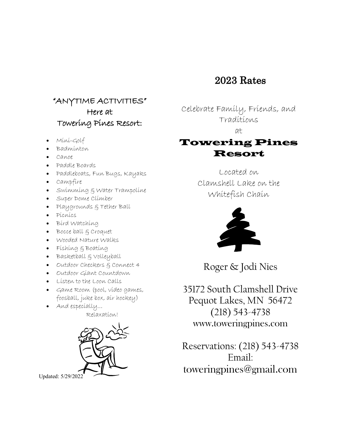# 2023 Rates

## "ANYTIME ACTIVITIES" Here at Towering Pines Resort:

- Mini-Golf
- Badminton
- Canoe
- Paddle Boards
- Paddleboats, Fun Bugs, Kayaks
- Campfire
- Swimming & Water Trampoline
- Super Dome Climber
- Playgrounds & Tether Ball
- Picnics
- Bird Watching
- Bocce ball  $\xi$  Croquet
- Wooded Nature Walks
- Fishing & Boating
- Basketball  $\xi$  Volleyball
- · Outdoor Checkers & Connect 4
- Outdoor Giant Countdown
- Listen to the Loon Calls
- Game Room (pool, vídeo games, foosball, juke box, air hockey)
- And especially… Relaxation!



Updated: 5/29/2022

Celebrate Family, Friends, and Traditions

at

## Towering Pines Resort

Located on Clamshell Lake on the Whitefish Chain



Roger & Jodi Nies

35172 South Clamshell Drive Pequot Lakes, MN 56472 (218) 543-4738 www.toweringpines.com

Reservations: (218) 543-4738 Email: toweringpines@gmail.com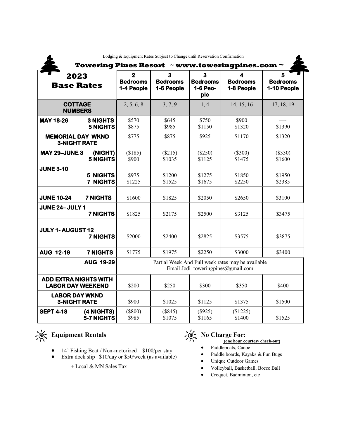|                                                          |                                    |                                                                                         | Lodging & Equipment Rates Subject to Change until Reservation Confirmation |                                         |                                                            |                                     |
|----------------------------------------------------------|------------------------------------|-----------------------------------------------------------------------------------------|----------------------------------------------------------------------------|-----------------------------------------|------------------------------------------------------------|-------------------------------------|
|                                                          |                                    |                                                                                         |                                                                            |                                         | Towering Pines Resort $~\sim$ www.toweringpines.com $\sim$ |                                     |
| 2023<br><b>Base Rates</b>                                |                                    | $\overline{2}$<br><b>Bedrooms</b><br>1-4 People                                         | 3<br><b>Bedrooms</b><br>1-6 People                                         | 3<br><b>Bedrooms</b><br>1-6 Peo-<br>ple | 4<br><b>Bedrooms</b><br>1-8 People                         | 5<br><b>Bedrooms</b><br>1-10 People |
| <b>COTTAGE</b><br><b>NUMBERS</b>                         |                                    | 2, 5, 6, 8                                                                              | 3, 7, 9                                                                    | 1, 4                                    | 14, 15, 16                                                 | 17, 18, 19                          |
| <b>MAY 18-26</b>                                         | <b>3 NIGHTS</b><br><b>5 NIGHTS</b> | \$570<br>\$875                                                                          | \$645<br>\$985                                                             | \$750<br>\$1150                         | \$900<br>\$1320                                            | \$1390                              |
| <b>MEMORIAL DAY WKND</b><br><b>3-NIGHT RATE</b>          |                                    | \$775                                                                                   | \$875                                                                      | \$925                                   | \$1170                                                     | \$1320                              |
| <b>MAY 29-JUNE 3</b>                                     | (NIGHT)<br><b>5 NIGHTS</b>         | (\$185)<br>\$900                                                                        | (\$215)<br>\$1035                                                          | (\$250)<br>\$1125                       | $(\$300)$<br>\$1475                                        | (\$330)<br>\$1600                   |
| <b>JUNE 3-10</b>                                         | <b>5 NIGHTS</b><br><b>7 NIGHTS</b> | \$975<br>\$1225                                                                         | \$1200<br>\$1525                                                           | \$1275<br>\$1675                        | \$1850<br>\$2250                                           | \$1950<br>\$2385                    |
| <b>JUNE 10-24</b>                                        | <b>7 NIGHTS</b>                    | \$1600                                                                                  | \$1825                                                                     | \$2050                                  | \$2650                                                     | \$3100                              |
| JUNE 24-JULY 1                                           | <b>7 NIGHTS</b>                    | \$1825                                                                                  | \$2175                                                                     | \$2500                                  | \$3125                                                     | \$3475                              |
| <b>JULY 1- AUGUST 12</b><br><b>7 NIGHTS</b>              |                                    | \$2000                                                                                  | \$2400                                                                     | \$2825                                  | \$3575                                                     | \$3875                              |
| <b>AUG 12-19</b>                                         | <b>7 NIGHTS</b>                    | \$1775                                                                                  | \$1975                                                                     | \$2250                                  | \$3000                                                     | \$3400                              |
|                                                          | <b>AUG 19-29</b>                   | Partial Week And Full week rates may be available<br>Email Jodi toweringpines@gmail.com |                                                                            |                                         |                                                            |                                     |
| <b>ADD EXTRA NIGHTS WITH</b><br><b>LABOR DAY WEEKEND</b> |                                    | \$200                                                                                   | \$250                                                                      | \$300                                   | \$350                                                      | \$400                               |
| <b>LABOR DAY WKND</b><br><b>3-NIGHT RATE</b>             |                                    | \$900                                                                                   | \$1025                                                                     | \$1125                                  | \$1375                                                     | \$1500                              |
| <b>SEPT 4-18</b>                                         | (4 NIGHTS)<br>5-7 NIGHTS           | $(\$800)$<br>\$985                                                                      | (\$845)<br>\$1075                                                          | (\$925)<br>\$1165                       | (\$1225)<br>\$1400                                         | \$1525                              |

**Equipment Rentals** 

- 14' Fishing Boat / Non-motorized \$100/per stay
- Extra dock slip– \$10/day or \$50/week (as available)

+ Local & MN Sales Tax

<sup>1</sup>/<sub>1</sub> No Charge For:

- **(one hour courtesy check-out)**
- Paddleboats, Canoe
- Paddle boards, Kayaks & Fun Bugs
- Unique Outdoor Games
- Volleyball, Basketball, Bocce Ball
- Croquet, Badminton, etc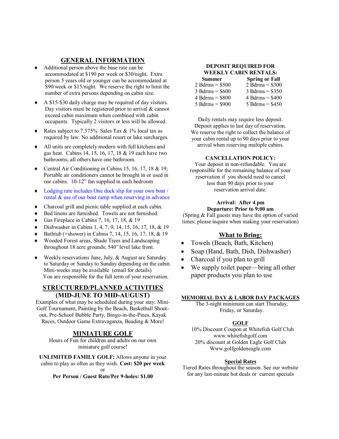## **GENERAL INFORMATION**

- Additional person above the base rate can be accommodated at \$190 per week or \$30/night. Extra person 5 years old or younger can be accommodated at \$90/week or \$15/night. We reserve the right to limit the number of extra persons depending on cabin size.
- A \$15-\$30 daily charge may be required of day visitors. Day visitors must be registered prior to arrival & cannot exceed cabin maximum when combined with cabin occupants. Typically 2 visitors or less will be allowed.
- $\triangleleft$  Rates subject to 7.375% Sales Tax & 1% local tax as required by law. No additional resort or lake surcharges.
- All units are completely modern with full kitchens and gas heat. Cabins 14, 15, 16, 17, 18 & 19 each have two bathrooms; all others have one bathroom.
- ◆ Central Air Conditioning in Cabins 15, 16, 17, 18 & 19; Portable air conditioners cannot be brought in or used in our cabins. 10-12" fan supplied in each bedroom
- Lodging rate includes One dock slip for your own boat / rental & use of our boat ramp when reserving in advance
- Charcoal grill and picnic table supplied at each cabin.
- Bed linens are furnished. Towels are not furnished.
- $\blacklozenge$  Gas Fireplace in Cabins 7, 16, 17, 18, & 19
- Dishwasher in Cabins 1, 4, 7, 9, 14, 15, 16, 17, 18, & 19
- Bathtub (+shower) in Cabins 7, 14, 15, 16, 17, 18, & 19
- Wooded Forest areas, Shade Trees and Landscaping throughout 18 acre grounds; 540' level lake front.
- Weekly reservations June, July, & August are Saturday to Saturday or Sunday to Sunday depending on the cabin. Mini-weeks may be available (email for details) You are responsible for the full term of your reservation.

## **STRUCTURED/PLANNED ACTIVITIES (MID-JUNE TO MID-AUGUST)**

Examples of what may be scheduled during your stay: Mini-Golf Tournament, Painting by the Beach, Basketball Shootout, Pre-School Bubble Party, Bingo-in-the-Pines, Kayak Races, Outdoor Game Extravaganza, Beading & More!

## **MINIATURE GOLF**

Hours of Fun for children and adults on our own miniature golf course!

**UNLIMITED FAMILY GOLF:** Allows anyone in your cabin to play as often as they wish. **Cost: \$20 per week**

or

**Per Person / Guest Rate/Per 9-holes: \$1.00**

## **DEPOSIT REQUIRED FOR WEEKLY CABIN RENTALS:**

| <b>Summer</b>     | <b>Spring or Fall</b> |
|-------------------|-----------------------|
| 2 Bdrms = $$500$  | 2 Bdrms = $$300$      |
| $3$ Bdrms = \$600 | $3$ Bdrms = \$350     |
| $4$ Bdrms = \$800 | $4$ Bdrms = \$400     |
| $5$ Bdrms = \$900 | 5 Bdrms = $$450$      |

Daily rentals may require less deposit. Deposit applies to last day of reservation. We reserve the right to collect the balance of your cabin rental up to 90 days prior to your arrival when reserving multiple cabins.

#### **CANCELLATION POLICY:**

Your deposit in non-refundable. You are responsible for the remaining balance of your reservation if you should need to cancel less than 90 days prior to your reservation arrival date.

#### **Arrival: After 4 pm Departure: Prior to 9:00 am**

(Spring & Fall guests may have the option of varied times; please inquire when making your reservation)

## **What to Bring:**

- Towels (Beach, Bath, Kitchen)
- Soap (Hand, Bath, Dish, Dishwasher)
- Charcoal if you plan to grill
- We supply toilet paper—bring all other paper products you plan to use

#### **MEMORIAL DAY & LABOR DAY PACKAGES**

 The 3-night minimum can start Thursday, Friday, or Saturday.

## **GOLF**

 10% Discount Coupon at Whitefish Golf Club www.whitefishgolf.com 20% discount at Golden Eagle Golf Club Www.golfgoldeneagle.com

## **Special Rates**

Tiered Rates throughout the season. See our website for any last-minute hot deals or current specials